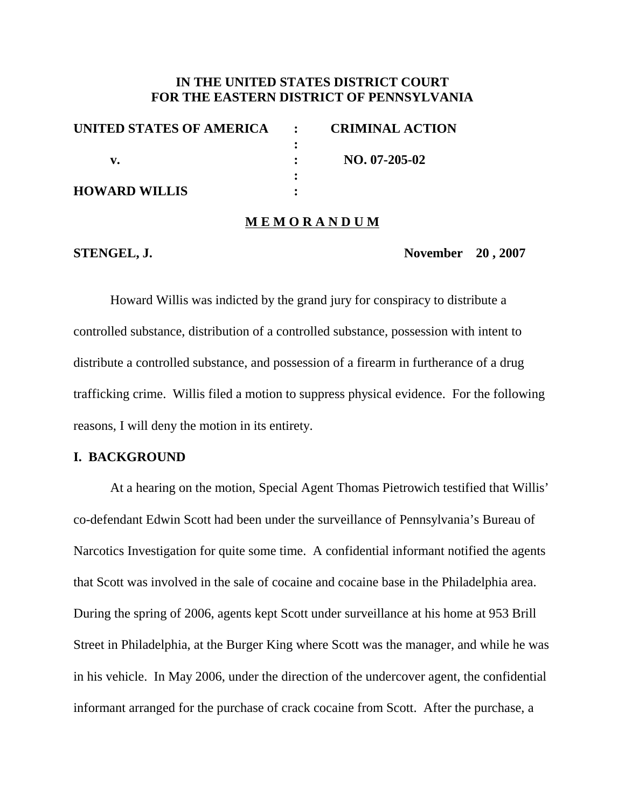# **IN THE UNITED STATES DISTRICT COURT FOR THE EASTERN DISTRICT OF PENNSYLVANIA**

| UNITED STATES OF AMERICA : | <b>CRIMINAL ACTION</b> |
|----------------------------|------------------------|
|                            |                        |
|                            | $NO. 07-205-02$        |
|                            |                        |
| <b>HOWARD WILLIS</b>       |                        |

### **M E M O R A N D U M**

**STENGEL, J. November 20 , 2007**

Howard Willis was indicted by the grand jury for conspiracy to distribute a controlled substance, distribution of a controlled substance, possession with intent to distribute a controlled substance, and possession of a firearm in furtherance of a drug trafficking crime. Willis filed a motion to suppress physical evidence. For the following reasons, I will deny the motion in its entirety.

# **I. BACKGROUND**

At a hearing on the motion, Special Agent Thomas Pietrowich testified that Willis' co-defendant Edwin Scott had been under the surveillance of Pennsylvania's Bureau of Narcotics Investigation for quite some time. A confidential informant notified the agents that Scott was involved in the sale of cocaine and cocaine base in the Philadelphia area. During the spring of 2006, agents kept Scott under surveillance at his home at 953 Brill Street in Philadelphia, at the Burger King where Scott was the manager, and while he was in his vehicle. In May 2006, under the direction of the undercover agent, the confidential informant arranged for the purchase of crack cocaine from Scott. After the purchase, a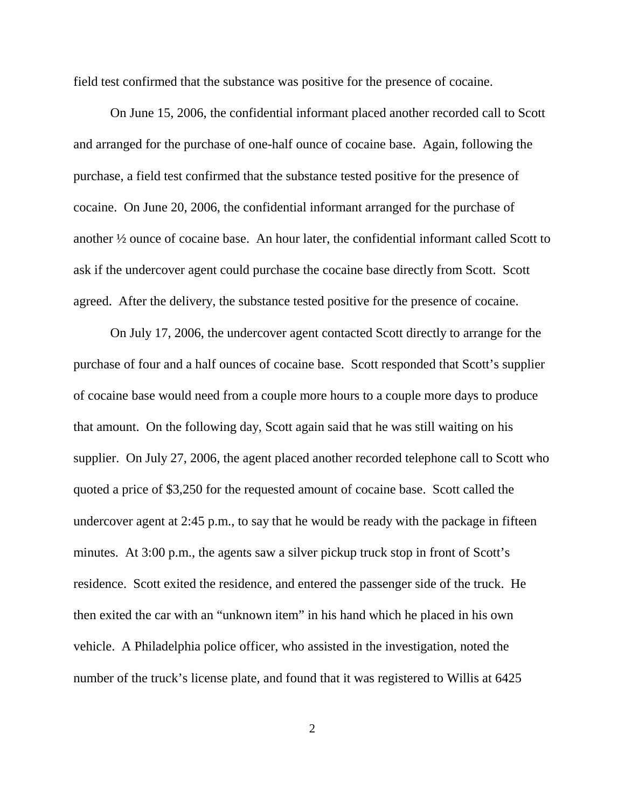field test confirmed that the substance was positive for the presence of cocaine.

On June 15, 2006, the confidential informant placed another recorded call to Scott and arranged for the purchase of one-half ounce of cocaine base. Again, following the purchase, a field test confirmed that the substance tested positive for the presence of cocaine. On June 20, 2006, the confidential informant arranged for the purchase of another ½ ounce of cocaine base. An hour later, the confidential informant called Scott to ask if the undercover agent could purchase the cocaine base directly from Scott. Scott agreed. After the delivery, the substance tested positive for the presence of cocaine.

On July 17, 2006, the undercover agent contacted Scott directly to arrange for the purchase of four and a half ounces of cocaine base. Scott responded that Scott's supplier of cocaine base would need from a couple more hours to a couple more days to produce that amount. On the following day, Scott again said that he was still waiting on his supplier. On July 27, 2006, the agent placed another recorded telephone call to Scott who quoted a price of \$3,250 for the requested amount of cocaine base. Scott called the undercover agent at 2:45 p.m., to say that he would be ready with the package in fifteen minutes. At 3:00 p.m., the agents saw a silver pickup truck stop in front of Scott's residence. Scott exited the residence, and entered the passenger side of the truck. He then exited the car with an "unknown item" in his hand which he placed in his own vehicle. A Philadelphia police officer, who assisted in the investigation, noted the number of the truck's license plate, and found that it was registered to Willis at 6425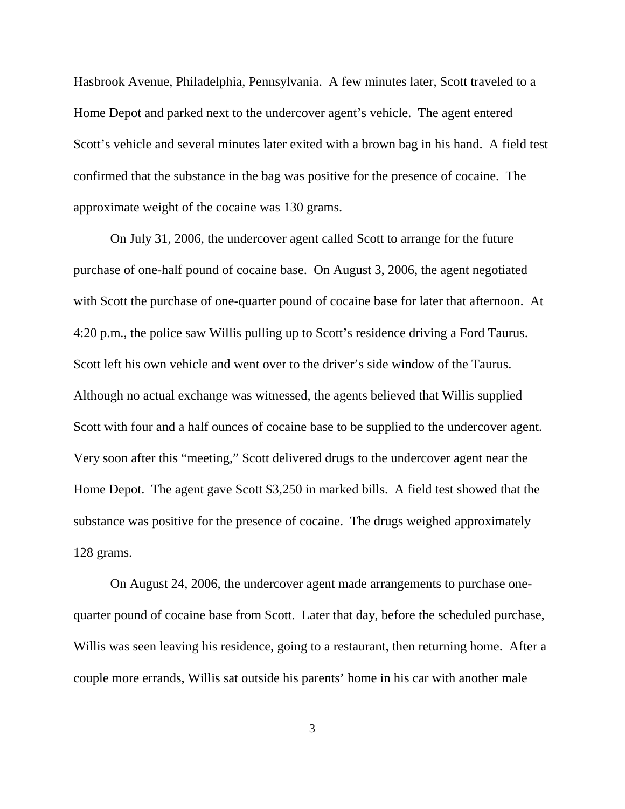Hasbrook Avenue, Philadelphia, Pennsylvania. A few minutes later, Scott traveled to a Home Depot and parked next to the undercover agent's vehicle. The agent entered Scott's vehicle and several minutes later exited with a brown bag in his hand. A field test confirmed that the substance in the bag was positive for the presence of cocaine. The approximate weight of the cocaine was 130 grams.

On July 31, 2006, the undercover agent called Scott to arrange for the future purchase of one-half pound of cocaine base. On August 3, 2006, the agent negotiated with Scott the purchase of one-quarter pound of cocaine base for later that afternoon. At 4:20 p.m., the police saw Willis pulling up to Scott's residence driving a Ford Taurus. Scott left his own vehicle and went over to the driver's side window of the Taurus. Although no actual exchange was witnessed, the agents believed that Willis supplied Scott with four and a half ounces of cocaine base to be supplied to the undercover agent. Very soon after this "meeting," Scott delivered drugs to the undercover agent near the Home Depot. The agent gave Scott \$3,250 in marked bills. A field test showed that the substance was positive for the presence of cocaine. The drugs weighed approximately 128 grams.

On August 24, 2006, the undercover agent made arrangements to purchase onequarter pound of cocaine base from Scott. Later that day, before the scheduled purchase, Willis was seen leaving his residence, going to a restaurant, then returning home. After a couple more errands, Willis sat outside his parents' home in his car with another male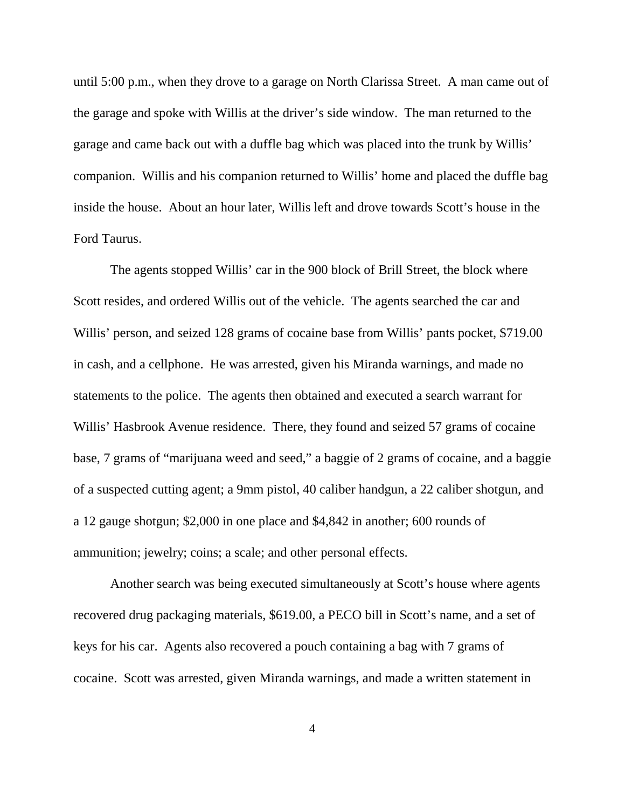until 5:00 p.m., when they drove to a garage on North Clarissa Street. A man came out of the garage and spoke with Willis at the driver's side window. The man returned to the garage and came back out with a duffle bag which was placed into the trunk by Willis' companion. Willis and his companion returned to Willis' home and placed the duffle bag inside the house. About an hour later, Willis left and drove towards Scott's house in the Ford Taurus.

The agents stopped Willis' car in the 900 block of Brill Street, the block where Scott resides, and ordered Willis out of the vehicle. The agents searched the car and Willis' person, and seized 128 grams of cocaine base from Willis' pants pocket, \$719.00 in cash, and a cellphone. He was arrested, given his Miranda warnings, and made no statements to the police. The agents then obtained and executed a search warrant for Willis' Hasbrook Avenue residence. There, they found and seized 57 grams of cocaine base, 7 grams of "marijuana weed and seed," a baggie of 2 grams of cocaine, and a baggie of a suspected cutting agent; a 9mm pistol, 40 caliber handgun, a 22 caliber shotgun, and a 12 gauge shotgun; \$2,000 in one place and \$4,842 in another; 600 rounds of ammunition; jewelry; coins; a scale; and other personal effects.

Another search was being executed simultaneously at Scott's house where agents recovered drug packaging materials, \$619.00, a PECO bill in Scott's name, and a set of keys for his car. Agents also recovered a pouch containing a bag with 7 grams of cocaine. Scott was arrested, given Miranda warnings, and made a written statement in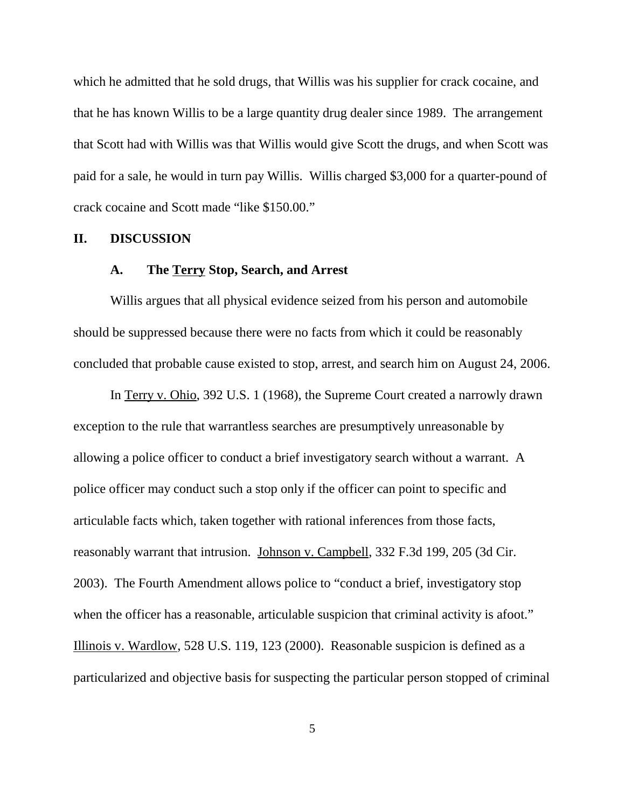which he admitted that he sold drugs, that Willis was his supplier for crack cocaine, and that he has known Willis to be a large quantity drug dealer since 1989. The arrangement that Scott had with Willis was that Willis would give Scott the drugs, and when Scott was paid for a sale, he would in turn pay Willis. Willis charged \$3,000 for a quarter-pound of crack cocaine and Scott made "like \$150.00."

### **II. DISCUSSION**

# **A. The Terry Stop, Search, and Arrest**

Willis argues that all physical evidence seized from his person and automobile should be suppressed because there were no facts from which it could be reasonably concluded that probable cause existed to stop, arrest, and search him on August 24, 2006.

In Terry v. Ohio, 392 U.S. 1 (1968), the Supreme Court created a narrowly drawn exception to the rule that warrantless searches are presumptively unreasonable by allowing a police officer to conduct a brief investigatory search without a warrant. A police officer may conduct such a stop only if the officer can point to specific and articulable facts which, taken together with rational inferences from those facts, reasonably warrant that intrusion. Johnson v. Campbell, 332 F.3d 199, 205 (3d Cir. 2003). The Fourth Amendment allows police to "conduct a brief, investigatory stop when the officer has a reasonable, articulable suspicion that criminal activity is afoot." Illinois v. Wardlow, 528 U.S. 119, 123 (2000). Reasonable suspicion is defined as a particularized and objective basis for suspecting the particular person stopped of criminal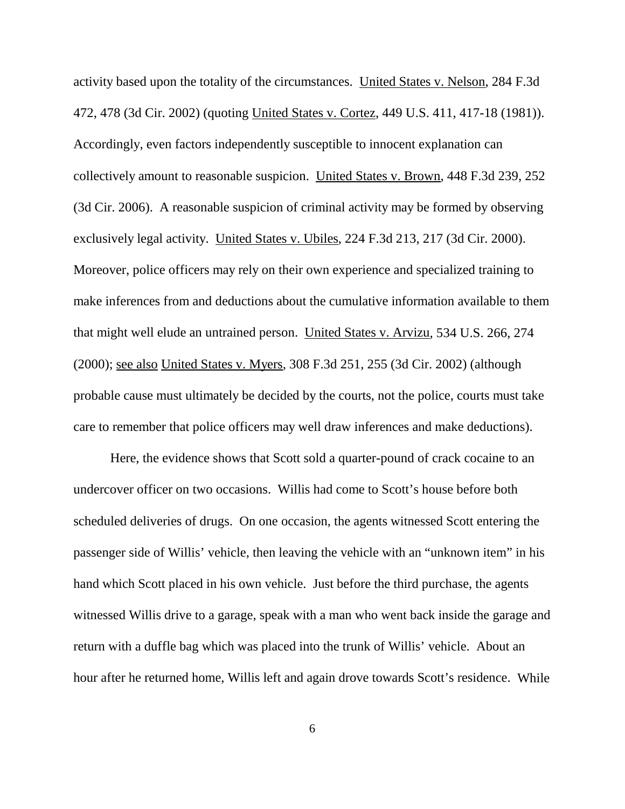activity based upon the totality of the circumstances. United States v. Nelson, 284 F.3d 472, 478 (3d Cir. 2002) (quoting United States v. Cortez, 449 U.S. 411, 417-18 (1981)). Accordingly, even factors independently susceptible to innocent explanation can collectively amount to reasonable suspicion. United States v. Brown, 448 F.3d 239, 252 (3d Cir. 2006). A reasonable suspicion of criminal activity may be formed by observing exclusively legal activity. United States v. Ubiles, 224 F.3d 213, 217 (3d Cir. 2000). Moreover, police officers may rely on their own experience and specialized training to make inferences from and deductions about the cumulative information available to them that might well elude an untrained person. United States v. Arvizu, 534 U.S. 266, 274 (2000); see also United States v. Myers, 308 F.3d 251, 255 (3d Cir. 2002) (although probable cause must ultimately be decided by the courts, not the police, courts must take care to remember that police officers may well draw inferences and make deductions).

Here, the evidence shows that Scott sold a quarter-pound of crack cocaine to an undercover officer on two occasions. Willis had come to Scott's house before both scheduled deliveries of drugs. On one occasion, the agents witnessed Scott entering the passenger side of Willis' vehicle, then leaving the vehicle with an "unknown item" in his hand which Scott placed in his own vehicle. Just before the third purchase, the agents witnessed Willis drive to a garage, speak with a man who went back inside the garage and return with a duffle bag which was placed into the trunk of Willis' vehicle. About an hour after he returned home, Willis left and again drove towards Scott's residence. While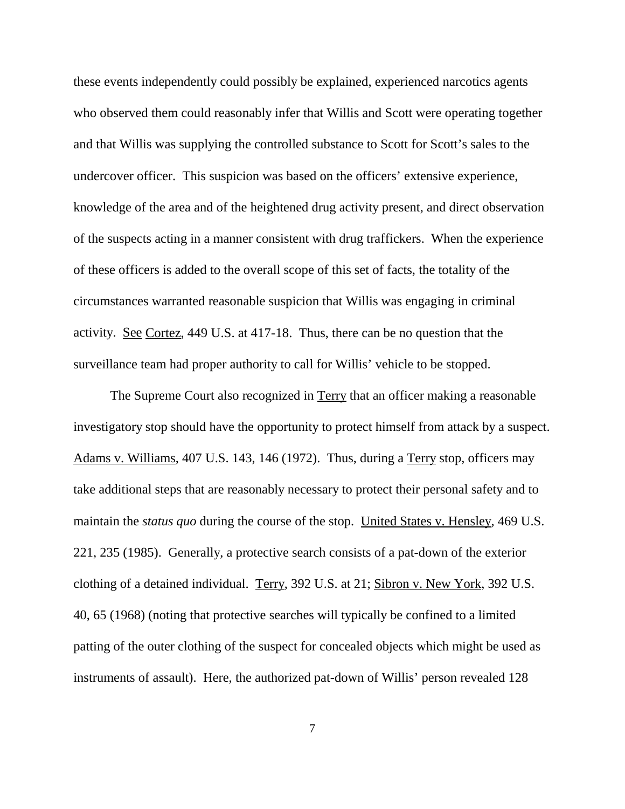these events independently could possibly be explained, experienced narcotics agents who observed them could reasonably infer that Willis and Scott were operating together and that Willis was supplying the controlled substance to Scott for Scott's sales to the undercover officer. This suspicion was based on the officers' extensive experience, knowledge of the area and of the heightened drug activity present, and direct observation of the suspects acting in a manner consistent with drug traffickers. When the experience of these officers is added to the overall scope of this set of facts, the totality of the circumstances warranted reasonable suspicion that Willis was engaging in criminal activity. See Cortez, 449 U.S. at 417-18. Thus, there can be no question that the surveillance team had proper authority to call for Willis' vehicle to be stopped.

The Supreme Court also recognized in Terry that an officer making a reasonable investigatory stop should have the opportunity to protect himself from attack by a suspect. Adams v. Williams, 407 U.S. 143, 146 (1972). Thus, during a Terry stop, officers may take additional steps that are reasonably necessary to protect their personal safety and to maintain the *status quo* during the course of the stop. United States v. Hensley, 469 U.S. 221, 235 (1985). Generally, a protective search consists of a pat-down of the exterior clothing of a detained individual. Terry, 392 U.S. at 21; Sibron v. New York, 392 U.S. 40, 65 (1968) (noting that protective searches will typically be confined to a limited patting of the outer clothing of the suspect for concealed objects which might be used as instruments of assault). Here, the authorized pat-down of Willis' person revealed 128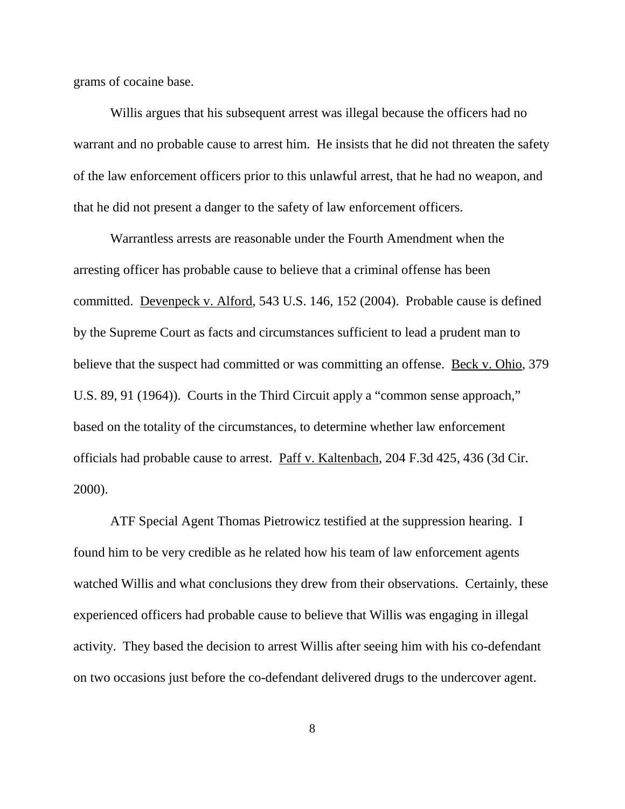grams of cocaine base.

Willis argues that his subsequent arrest was illegal because the officers had no warrant and no probable cause to arrest him. He insists that he did not threaten the safety of the law enforcement officers prior to this unlawful arrest, that he had no weapon, and that he did not present a danger to the safety of law enforcement officers.

Warrantless arrests are reasonable under the Fourth Amendment when the arresting officer has probable cause to believe that a criminal offense has been committed. Devenpeck v. Alford, 543 U.S. 146, 152 (2004). Probable cause is defined by the Supreme Court as facts and circumstances sufficient to lead a prudent man to believe that the suspect had committed or was committing an offense. <u>Beck v. Ohio</u>, 379 U.S. 89, 91 (1964)). Courts in the Third Circuit apply a "common sense approach," based on the totality of the circumstances, to determine whether law enforcement officials had probable cause to arrest. Paff v. Kaltenbach, 204 F.3d 425, 436 (3d Cir. 2000).

ATF Special Agent Thomas Pietrowicz testified at the suppression hearing. I found him to be very credible as he related how his team of law enforcement agents watched Willis and what conclusions they drew from their observations. Certainly, these experienced officers had probable cause to believe that Willis was engaging in illegal activity. They based the decision to arrest Willis after seeing him with his co-defendant on two occasions just before the co-defendant delivered drugs to the undercover agent.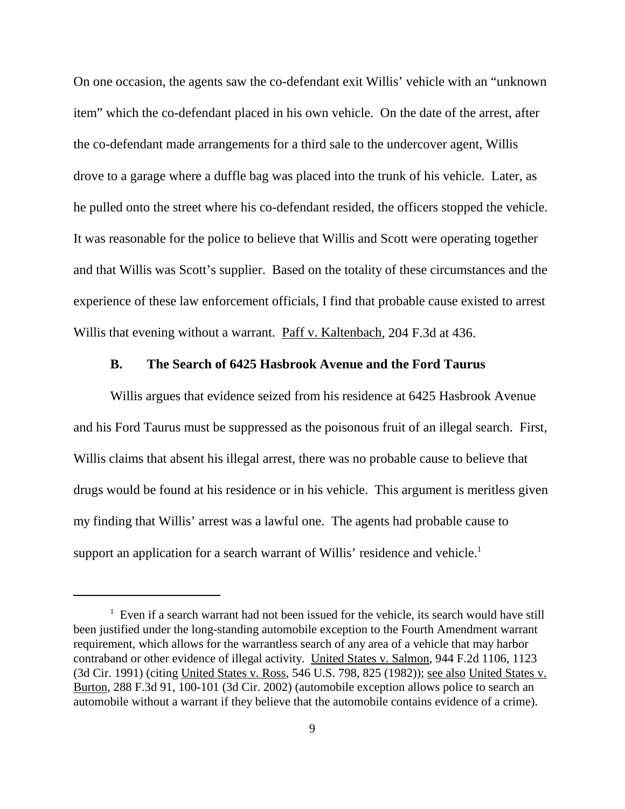On one occasion, the agents saw the co-defendant exit Willis' vehicle with an "unknown item" which the co-defendant placed in his own vehicle. On the date of the arrest, after the co-defendant made arrangements for a third sale to the undercover agent, Willis drove to a garage where a duffle bag was placed into the trunk of his vehicle. Later, as he pulled onto the street where his co-defendant resided, the officers stopped the vehicle. It was reasonable for the police to believe that Willis and Scott were operating together and that Willis was Scott's supplier. Based on the totality of these circumstances and the experience of these law enforcement officials, I find that probable cause existed to arrest Willis that evening without a warrant. Paff v. Kaltenbach, 204 F.3d at 436.

# **B. The Search of 6425 Hasbrook Avenue and the Ford Taurus**

Willis argues that evidence seized from his residence at 6425 Hasbrook Avenue and his Ford Taurus must be suppressed as the poisonous fruit of an illegal search. First, Willis claims that absent his illegal arrest, there was no probable cause to believe that drugs would be found at his residence or in his vehicle. This argument is meritless given my finding that Willis' arrest was a lawful one. The agents had probable cause to support an application for a search warrant of Willis' residence and vehicle.<sup>1</sup>

 $1$  Even if a search warrant had not been issued for the vehicle, its search would have still been justified under the long-standing automobile exception to the Fourth Amendment warrant requirement, which allows for the warrantless search of any area of a vehicle that may harbor contraband or other evidence of illegal activity. United States v. Salmon, 944 F.2d 1106, 1123 (3d Cir. 1991) (citing United States v. Ross, 546 U.S. 798, 825 (1982)); see also United States v. Burton, 288 F.3d 91, 100-101 (3d Cir. 2002) (automobile exception allows police to search an automobile without a warrant if they believe that the automobile contains evidence of a crime).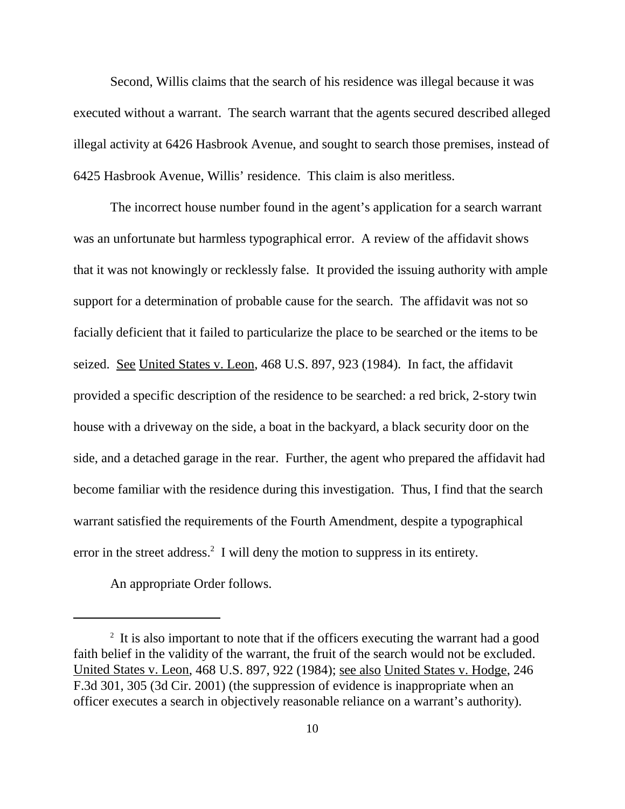Second, Willis claims that the search of his residence was illegal because it was executed without a warrant. The search warrant that the agents secured described alleged illegal activity at 6426 Hasbrook Avenue, and sought to search those premises, instead of 6425 Hasbrook Avenue, Willis' residence. This claim is also meritless.

The incorrect house number found in the agent's application for a search warrant was an unfortunate but harmless typographical error. A review of the affidavit shows that it was not knowingly or recklessly false. It provided the issuing authority with ample support for a determination of probable cause for the search. The affidavit was not so facially deficient that it failed to particularize the place to be searched or the items to be seized. See United States v. Leon, 468 U.S. 897, 923 (1984). In fact, the affidavit provided a specific description of the residence to be searched: a red brick, 2-story twin house with a driveway on the side, a boat in the backyard, a black security door on the side, and a detached garage in the rear. Further, the agent who prepared the affidavit had become familiar with the residence during this investigation. Thus, I find that the search warrant satisfied the requirements of the Fourth Amendment, despite a typographical error in the street address. <sup>2</sup> I will deny the motion to suppress in its entirety.

An appropriate Order follows.

<sup>&</sup>lt;sup>2</sup> It is also important to note that if the officers executing the warrant had a good faith belief in the validity of the warrant, the fruit of the search would not be excluded. United States v. Leon, 468 U.S. 897, 922 (1984); see also United States v. Hodge, 246 F.3d 301, 305 (3d Cir. 2001) (the suppression of evidence is inappropriate when an officer executes a search in objectively reasonable reliance on a warrant's authority).